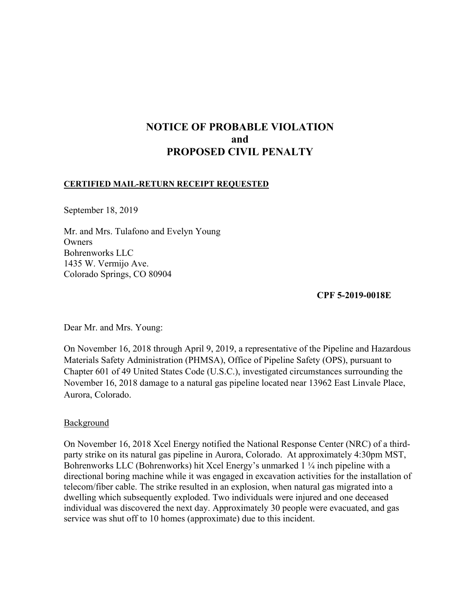# **NOTICE OF PROBABLE VIOLATION and PROPOSED CIVIL PENALTY**

#### **CERTIFIED MAIL-RETURN RECEIPT REQUESTED**

September 18, 2019

Mr. and Mrs. Tulafono and Evelyn Young **Owners** Bohrenworks LLC 1435 W. Vermijo Ave. Colorado Springs, CO 80904

**CPF 5-2019-0018E**

Dear Mr. and Mrs. Young:

On November 16, 2018 through April 9, 2019, a representative of the Pipeline and Hazardous Materials Safety Administration (PHMSA), Office of Pipeline Safety (OPS), pursuant to Chapter 601 of 49 United States Code (U.S.C.), investigated circumstances surrounding the November 16, 2018 damage to a natural gas pipeline located near 13962 East Linvale Place, Aurora, Colorado.

### **Background**

On November 16, 2018 Xcel Energy notified the National Response Center (NRC) of a thirdparty strike on its natural gas pipeline in Aurora, Colorado. At approximately 4:30pm MST, Bohrenworks LLC (Bohrenworks) hit Xcel Energy's unmarked 1 ¼ inch pipeline with a directional boring machine while it was engaged in excavation activities for the installation of telecom/fiber cable. The strike resulted in an explosion, when natural gas migrated into a dwelling which subsequently exploded. Two individuals were injured and one deceased individual was discovered the next day. Approximately 30 people were evacuated, and gas service was shut off to 10 homes (approximate) due to this incident.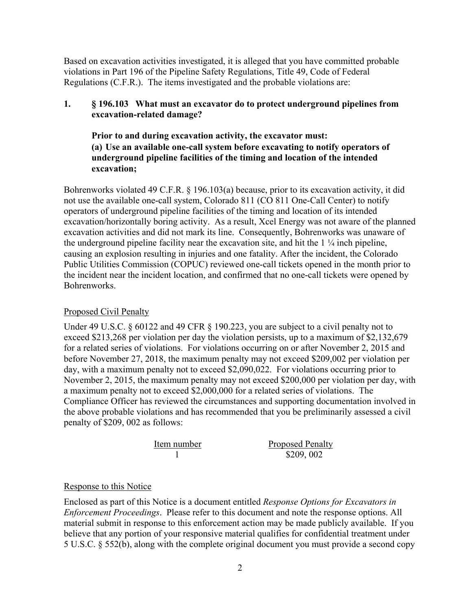Based on excavation activities investigated, it is alleged that you have committed probable violations in Part 196 of the Pipeline Safety Regulations, Title 49, Code of Federal Regulations (C.F.R.). The items investigated and the probable violations are:

## **1. § 196.103 What must an excavator do to protect underground pipelines from excavation-related damage?**

**Prior to and during excavation activity, the excavator must: (a) Use an available one-call system before excavating to notify operators of underground pipeline facilities of the timing and location of the intended excavation;** 

Bohrenworks violated 49 C.F.R. § 196.103(a) because, prior to its excavation activity, it did not use the available one-call system, Colorado 811 (CO 811 One-Call Center) to notify operators of underground pipeline facilities of the timing and location of its intended excavation/horizontally boring activity. As a result, Xcel Energy was not aware of the planned excavation activities and did not mark its line. Consequently, Bohrenworks was unaware of the underground pipeline facility near the excavation site, and hit the  $1\frac{1}{4}$  inch pipeline, causing an explosion resulting in injuries and one fatality. After the incident, the Colorado Public Utilities Commission (COPUC) reviewed one-call tickets opened in the month prior to the incident near the incident location, and confirmed that no one-call tickets were opened by Bohrenworks.

## Proposed Civil Penalty

Under 49 U.S.C. § 60122 and 49 CFR § 190.223, you are subject to a civil penalty not to exceed \$213,268 per violation per day the violation persists, up to a maximum of \$2,132,679 for a related series of violations. For violations occurring on or after November 2, 2015 and before November 27, 2018, the maximum penalty may not exceed \$209,002 per violation per day, with a maximum penalty not to exceed \$2,090,022. For violations occurring prior to November 2, 2015, the maximum penalty may not exceed \$200,000 per violation per day, with a maximum penalty not to exceed \$2,000,000 for a related series of violations. The Compliance Officer has reviewed the circumstances and supporting documentation involved in the above probable violations and has recommended that you be preliminarily assessed a civil penalty of \$209, 002 as follows:

| Item number | <b>Proposed Penalty</b> |
|-------------|-------------------------|
|             | \$209,002               |

### Response to this Notice

Enclosed as part of this Notice is a document entitled *Response Options for Excavators in Enforcement Proceedings*. Please refer to this document and note the response options. All material submit in response to this enforcement action may be made publicly available. If you believe that any portion of your responsive material qualifies for confidential treatment under 5 U.S.C. § 552(b), along with the complete original document you must provide a second copy